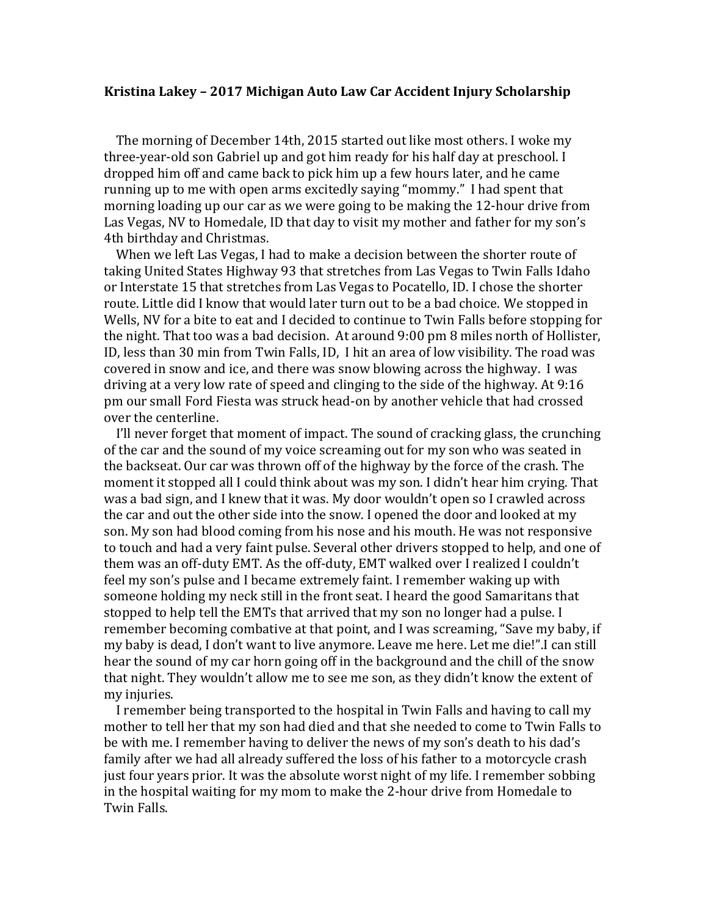## **Kristina Lakey – 2017 Michigan Auto Law Car Accident Injury Scholarship**

 The morning of December 14th, 2015 started out like most others. I woke my three-year-old son Gabriel up and got him ready for his half day at preschool. I dropped him off and came back to pick him up a few hours later, and he came running up to me with open arms excitedly saying "mommy." I had spent that morning loading up our car as we were going to be making the 12-hour drive from Las Vegas, NV to Homedale, ID that day to visit my mother and father for my son's 4th birthday and Christmas.

 When we left Las Vegas, I had to make a decision between the shorter route of taking United States Highway 93 that stretches from Las Vegas to Twin Falls Idaho or Interstate 15 that stretches from Las Vegas to Pocatello, ID. I chose the shorter route. Little did I know that would later turn out to be a bad choice. We stopped in Wells, NV for a bite to eat and I decided to continue to Twin Falls before stopping for the night. That too was a bad decision. At around 9:00 pm 8 miles north of Hollister, ID, less than 30 min from Twin Falls, ID, I hit an area of low visibility. The road was covered in snow and ice, and there was snow blowing across the highway. I was driving at a very low rate of speed and clinging to the side of the highway. At 9:16 pm our small Ford Fiesta was struck head-on by another vehicle that had crossed over the centerline.

 I'll never forget that moment of impact. The sound of cracking glass, the crunching of the car and the sound of my voice screaming out for my son who was seated in the backseat. Our car was thrown off of the highway by the force of the crash. The moment it stopped all I could think about was my son. I didn't hear him crying. That was a bad sign, and I knew that it was. My door wouldn't open so I crawled across the car and out the other side into the snow. I opened the door and looked at my son. My son had blood coming from his nose and his mouth. He was not responsive to touch and had a very faint pulse. Several other drivers stopped to help, and one of them was an off-duty EMT. As the off-duty, EMT walked over I realized I couldn't feel my son's pulse and I became extremely faint. I remember waking up with someone holding my neck still in the front seat. I heard the good Samaritans that stopped to help tell the EMTs that arrived that my son no longer had a pulse. I remember becoming combative at that point, and I was screaming, "Save my baby, if my baby is dead, I don't want to live anymore. Leave me here. Let me die!".I can still hear the sound of my car horn going off in the background and the chill of the snow that night. They wouldn't allow me to see me son, as they didn't know the extent of my injuries.

 I remember being transported to the hospital in Twin Falls and having to call my mother to tell her that my son had died and that she needed to come to Twin Falls to be with me. I remember having to deliver the news of my son's death to his dad's family after we had all already suffered the loss of his father to a motorcycle crash just four years prior. It was the absolute worst night of my life. I remember sobbing in the hospital waiting for my mom to make the 2-hour drive from Homedale to Twin Falls.